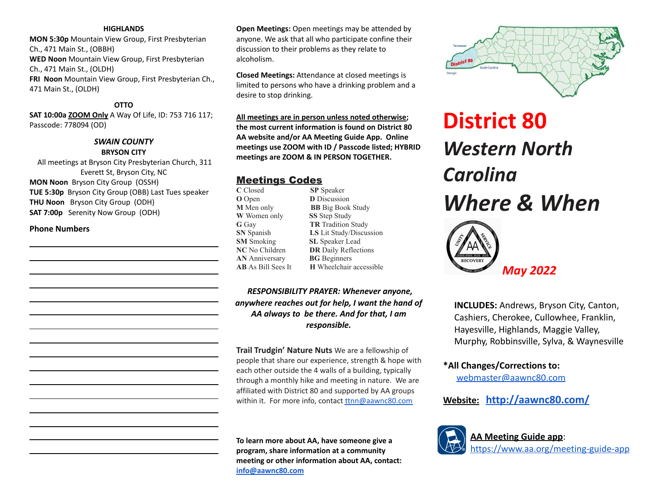#### **HIGHLANDS**

**MON 5:30p** Mountain View Group, First Presbyterian Ch., 471 Main St., (OBBH) **WED Noon** Mountain View Group, First Presbyterian Ch., 471 Main St., (OLDH) **FRI Noon** Mountain View Group, First Presbyterian Ch., 471 Main St., (OLDH)

#### **OTTO**

**SAT 10:00a ZOOM Only** A Way Of Life, ID: 753 716 117; Passcode: 778094 (OD)

# *SWAIN COUNTY* **BRYSON CITY**

All meetings at Bryson City Presbyterian Church, 311 Everett St, Bryson City, NC **MON Noon** Bryson City Group (OSSH) **TUE 5:30p** Bryson City Group (OBB) Last Tues speaker **THU Noon** Bryson City Group (ODH) **SAT 7:00p** Serenity Now Group (ODH)

#### **Phone Numbers**

**Open Meetings:** Open meetings may be attended by anyone. We ask that all who participate confine their discussion to their problems as they relate to alcoholism.

**Closed Meetings:** Attendance at closed meetings is limited to persons who have a drinking problem and a desire to stop drinking.

**All meetings are in person unless noted otherwise; the most current information is found on District 80 AA website and/or AA Meeting Guide App. Online meetings use ZOOM with ID / Passcode listed; HYBRID meetings are ZOOM & IN PERSON TOGETHER.**

# Meetings Codes

**C** Closed **SP** Speaker **O** Open **D** Discussion **M** Men only **BB** Big Book Study **W** Women only **SS** Step Study **G** Gay **TR** Tradition Study **SN** Spanish **LS** Lit Study/Discussion **SM** Smoking **SL** Speaker Lead **NC** No Children **DR** Daily Reflections **AN** Anniversary **BG** Beginners **AB** As Bill Sees It **H** Wheelchair accessible

*RESPONSIBILITY PRAYER: Whenever anyone, anywhere reaches out for help, I want the hand of AA always to be there. And for that, I am responsible.*

**Trail Trudgin' Nature Nuts** We are a fellowship of people that share our experience, strength & hope with each other outside the 4 walls of a building, typically through a monthly hike and meeting in nature. We are affiliated with District 80 and supported by AA groups within it. For more info, contact [ttnn@aawnc80.com](mailto:ttnn@aawnc80.com)

**To learn more about AA, have someone give a program, share information at a community meeting or other information about AA, contact: [info@aawnc80.com](mailto:info@aawnc80.com)**



# **District 80** *Western North Carolina Where & When*



**INCLUDES:** Andrews, Bryson City, Canton, Cashiers, Cherokee, Cullowhee, Franklin, Hayesville, Highlands, Maggie Valley, Murphy, Robbinsville, Sylva, & Waynesville

**\*All Changes/Corrections to:**

[webmaster@aawnc80.com](mailto:webadministrator@aawnc80.org)

**Website: <http://aawnc80.com/>**



**AA Meeting Guide app**: <https://www.aa.org/meeting-guide-app>